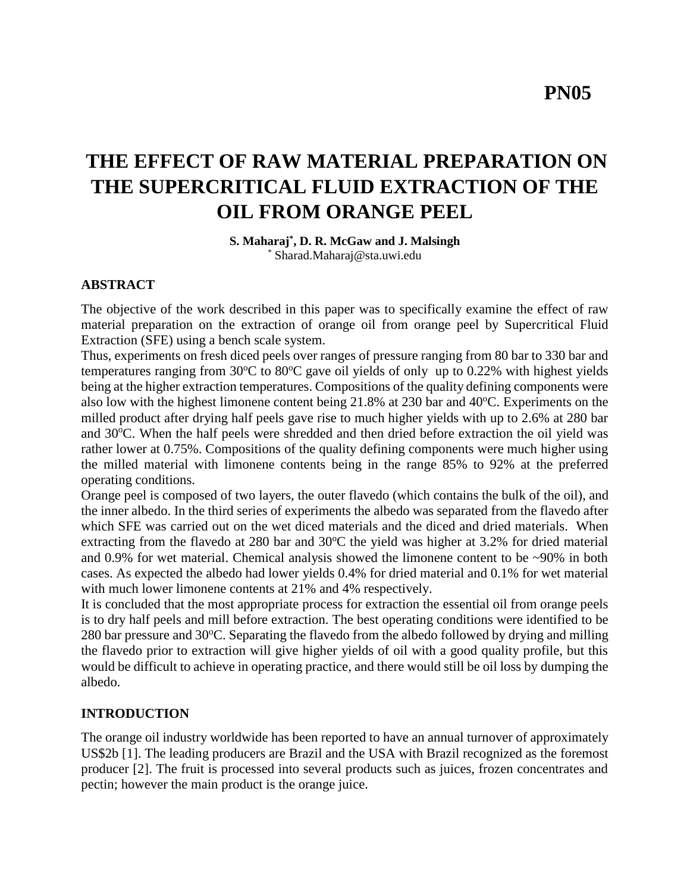**PN05**

# **THE EFFECT OF RAW MATERIAL PREPARATION ON THE SUPERCRITICAL FLUID EXTRACTION OF THE OIL FROM ORANGE PEEL**

**S. Maharaj\* , D. R. McGaw and J. Malsingh** \* [Sharad.Maharaj@sta.uwi.edu](mailto:Sharad.Maharaj@sta.uwi.edu)

#### **ABSTRACT**

The objective of the work described in this paper was to specifically examine the effect of raw material preparation on the extraction of orange oil from orange peel by Supercritical Fluid Extraction (SFE) using a bench scale system.

Thus, experiments on fresh diced peels over ranges of pressure ranging from 80 bar to 330 bar and temperatures ranging from  $30^{\circ}$ C to  $80^{\circ}$ C gave oil yields of only up to 0.22% with highest yields being at the higher extraction temperatures. Compositions of the quality defining components were also low with the highest limonene content being  $21.8\%$  at 230 bar and 40 $\degree$ C. Experiments on the milled product after drying half peels gave rise to much higher yields with up to 2.6% at 280 bar and 30°C. When the half peels were shredded and then dried before extraction the oil yield was rather lower at 0.75%. Compositions of the quality defining components were much higher using the milled material with limonene contents being in the range 85% to 92% at the preferred operating conditions.

Orange peel is composed of two layers, the outer flavedo (which contains the bulk of the oil), and the inner albedo. In the third series of experiments the albedo was separated from the flavedo after which SFE was carried out on the wet diced materials and the diced and dried materials. When extracting from the flavedo at 280 bar and  $30^{\circ}$ C the yield was higher at 3.2% for dried material and 0.9% for wet material. Chemical analysis showed the limonene content to be ~90% in both cases. As expected the albedo had lower yields 0.4% for dried material and 0.1% for wet material with much lower limonene contents at 21% and 4% respectively.

It is concluded that the most appropriate process for extraction the essential oil from orange peels is to dry half peels and mill before extraction. The best operating conditions were identified to be  $280$  bar pressure and  $30^{\circ}$ C. Separating the flavedo from the albedo followed by drying and milling the flavedo prior to extraction will give higher yields of oil with a good quality profile, but this would be difficult to achieve in operating practice, and there would still be oil loss by dumping the albedo.

#### **INTRODUCTION**

The orange oil industry worldwide has been reported to have an annual turnover of approximately US\$2b [1]. The leading producers are Brazil and the USA with Brazil recognized as the foremost producer [2]. The fruit is processed into several products such as juices, frozen concentrates and pectin; however the main product is the orange juice.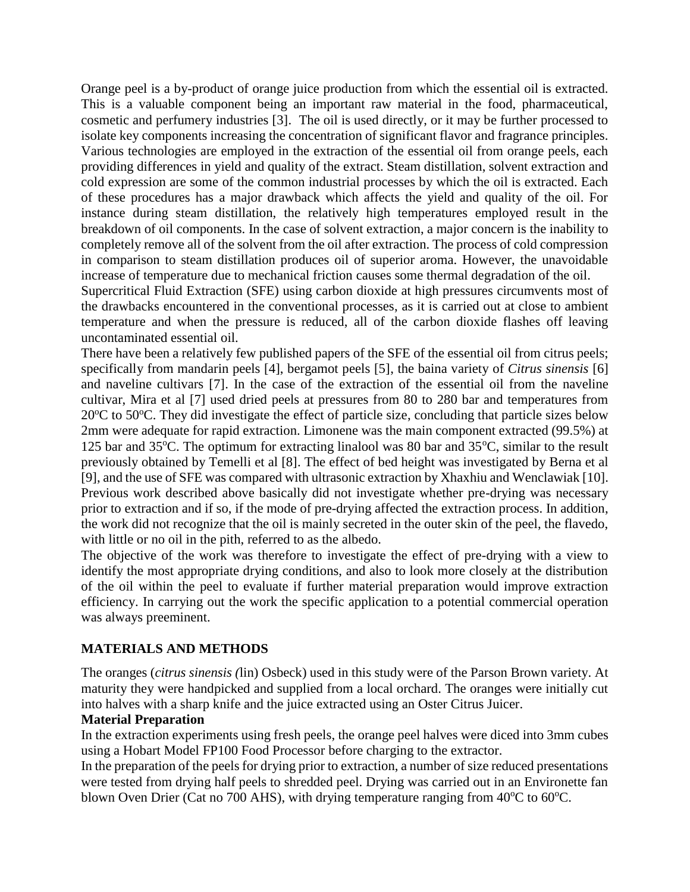Orange peel is a by-product of orange juice production from which the essential oil is extracted. This is a valuable component being an important raw material in the food, pharmaceutical, cosmetic and perfumery industries [3]. The oil is used directly, or it may be further processed to isolate key components increasing the concentration of significant flavor and fragrance principles. Various technologies are employed in the extraction of the essential oil from orange peels, each providing differences in yield and quality of the extract. Steam distillation, solvent extraction and cold expression are some of the common industrial processes by which the oil is extracted. Each of these procedures has a major drawback which affects the yield and quality of the oil. For instance during steam distillation, the relatively high temperatures employed result in the breakdown of oil components. In the case of solvent extraction, a major concern is the inability to completely remove all of the solvent from the oil after extraction. The process of cold compression in comparison to steam distillation produces oil of superior aroma. However, the unavoidable increase of temperature due to mechanical friction causes some thermal degradation of the oil.

Supercritical Fluid Extraction (SFE) using carbon dioxide at high pressures circumvents most of the drawbacks encountered in the conventional processes, as it is carried out at close to ambient temperature and when the pressure is reduced, all of the carbon dioxide flashes off leaving uncontaminated essential oil.

There have been a relatively few published papers of the SFE of the essential oil from citrus peels; specifically from mandarin peels [4], bergamot peels [5], the baina variety of *Citrus sinensis* [6] and naveline cultivars [7]. In the case of the extraction of the essential oil from the naveline cultivar, Mira et al [7] used dried peels at pressures from 80 to 280 bar and temperatures from  $20^{\circ}$ C to 50 $^{\circ}$ C. They did investigate the effect of particle size, concluding that particle sizes below 2mm were adequate for rapid extraction. Limonene was the main component extracted (99.5%) at 125 bar and 35 $^{\circ}$ C. The optimum for extracting linalool was 80 bar and 35 $^{\circ}$ C, similar to the result previously obtained by Temelli et al [8]. The effect of bed height was investigated by Berna et al [9], and the use of SFE was compared with ultrasonic extraction by Xhaxhiu and Wenclawiak [10]. Previous work described above basically did not investigate whether pre-drying was necessary prior to extraction and if so, if the mode of pre-drying affected the extraction process. In addition, the work did not recognize that the oil is mainly secreted in the outer skin of the peel, the flavedo, with little or no oil in the pith, referred to as the albedo.

The objective of the work was therefore to investigate the effect of pre-drying with a view to identify the most appropriate drying conditions, and also to look more closely at the distribution of the oil within the peel to evaluate if further material preparation would improve extraction efficiency. In carrying out the work the specific application to a potential commercial operation was always preeminent.

# **MATERIALS AND METHODS**

The oranges (*citrus sinensis (*lin) Osbeck) used in this study were of the Parson Brown variety. At maturity they were handpicked and supplied from a local orchard. The oranges were initially cut into halves with a sharp knife and the juice extracted using an Oster Citrus Juicer.

#### **Material Preparation**

In the extraction experiments using fresh peels, the orange peel halves were diced into 3mm cubes using a Hobart Model FP100 Food Processor before charging to the extractor.

In the preparation of the peels for drying prior to extraction, a number of size reduced presentations were tested from drying half peels to shredded peel. Drying was carried out in an Environette fan blown Oven Drier (Cat no 700 AHS), with drying temperature ranging from  $40^{\circ}$ C to  $60^{\circ}$ C.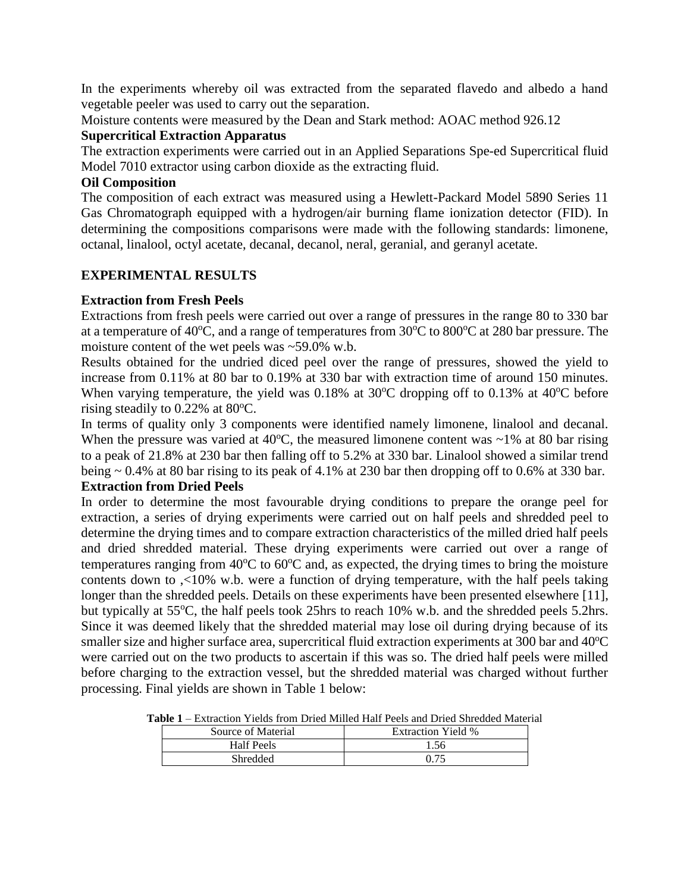In the experiments whereby oil was extracted from the separated flavedo and albedo a hand vegetable peeler was used to carry out the separation.

Moisture contents were measured by the Dean and Stark method: AOAC method 926.12

#### **Supercritical Extraction Apparatus**

The extraction experiments were carried out in an Applied Separations Spe-ed Supercritical fluid Model 7010 extractor using carbon dioxide as the extracting fluid.

#### **Oil Composition**

The composition of each extract was measured using a Hewlett-Packard Model 5890 Series 11 Gas Chromatograph equipped with a hydrogen/air burning flame ionization detector (FID). In determining the compositions comparisons were made with the following standards: limonene, octanal, linalool, octyl acetate, decanal, decanol, neral, geranial, and geranyl acetate.

# **EXPERIMENTAL RESULTS**

# **Extraction from Fresh Peels**

Extractions from fresh peels were carried out over a range of pressures in the range 80 to 330 bar at a temperature of 40 $\rm ^{o}C$ , and a range of temperatures from 30 $\rm ^{o}C$  to 800 $\rm ^{o}C$  at 280 bar pressure. The moisture content of the wet peels was ~59.0% w.b.

Results obtained for the undried diced peel over the range of pressures, showed the yield to increase from 0.11% at 80 bar to 0.19% at 330 bar with extraction time of around 150 minutes. When varying temperature, the yield was  $0.18\%$  at  $30\degree$ C dropping off to  $0.13\%$  at  $40\degree$ C before rising steadily to  $0.22\%$  at 80°C.

In terms of quality only 3 components were identified namely limonene, linalool and decanal. When the pressure was varied at  $40^{\circ}$ C, the measured limonene content was  $\sim$ 1% at 80 bar rising to a peak of 21.8% at 230 bar then falling off to 5.2% at 330 bar. Linalool showed a similar trend being ~ 0.4% at 80 bar rising to its peak of 4.1% at 230 bar then dropping off to 0.6% at 330 bar. **Extraction from Dried Peels**

In order to determine the most favourable drying conditions to prepare the orange peel for extraction, a series of drying experiments were carried out on half peels and shredded peel to determine the drying times and to compare extraction characteristics of the milled dried half peels and dried shredded material. These drying experiments were carried out over a range of temperatures ranging from  $40^{\circ}$ C to  $60^{\circ}$ C and, as expected, the drying times to bring the moisture contents down to ,<10% w.b. were a function of drying temperature, with the half peels taking longer than the shredded peels. Details on these experiments have been presented elsewhere [11], but typically at 55<sup>o</sup>C, the half peels took 25hrs to reach 10% w.b. and the shredded peels 5.2hrs. Since it was deemed likely that the shredded material may lose oil during drying because of its smaller size and higher surface area, supercritical fluid extraction experiments at 300 bar and 40°C were carried out on the two products to ascertain if this was so. The dried half peels were milled before charging to the extraction vessel, but the shredded material was charged without further processing. Final yields are shown in Table 1 below:

**Table 1** – Extraction Yields from Dried Milled Half Peels and Dried Shredded Material

| Source of Material | <b>Extraction Yield %</b> |
|--------------------|---------------------------|
| <b>Half Peels</b>  | 1.56                      |
| Shredded           |                           |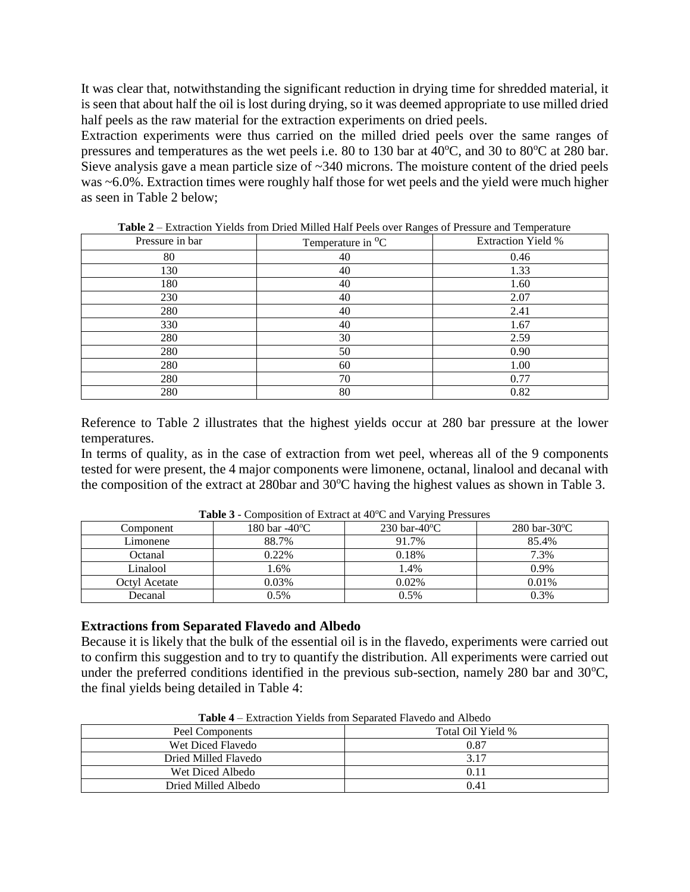It was clear that, notwithstanding the significant reduction in drying time for shredded material, it is seen that about half the oil is lost during drying, so it was deemed appropriate to use milled dried half peels as the raw material for the extraction experiments on dried peels.

Extraction experiments were thus carried on the milled dried peels over the same ranges of pressures and temperatures as the wet peels i.e. 80 to 130 bar at  $40^{\circ}$ C, and 30 to 80 $^{\circ}$ C at 280 bar. Sieve analysis gave a mean particle size of ~340 microns. The moisture content of the dried peels was ~6.0%. Extraction times were roughly half those for wet peels and the yield were much higher as seen in Table 2 below;

| Pressure in bar | Temperature in <sup>o</sup> C | <b>Extraction Yield %</b> |
|-----------------|-------------------------------|---------------------------|
| 80              | 40                            | 0.46                      |
| 130             | 40                            | 1.33                      |
| 180             | 40                            | 1.60                      |
| 230             | 40                            | 2.07                      |
| 280             | 40                            | 2.41                      |
| 330             | 40                            | 1.67                      |
| 280             | 30                            | 2.59                      |
| 280             | 50                            | 0.90                      |
| 280             | 60                            | 1.00                      |
| 280             | 70                            | 0.77                      |
| 280             | 80                            | 0.82                      |

**Table 2** – Extraction Yields from Dried Milled Half Peels over Ranges of Pressure and Temperature

Reference to Table 2 illustrates that the highest yields occur at 280 bar pressure at the lower temperatures.

In terms of quality, as in the case of extraction from wet peel, whereas all of the 9 components tested for were present, the 4 major components were limonene, octanal, linalool and decanal with the composition of the extract at 280bar and 30°C having the highest values as shown in Table 3.

| Component     | 180 bar -40 $\rm ^{o}C$ | $230 \text{ bar}-40^{\circ}\text{C}$ | $280$ bar-30 $\degree$ C |
|---------------|-------------------------|--------------------------------------|--------------------------|
| Limonene      | 88.7%                   | 91.7%                                | 85.4%                    |
| Octanal       | 0.22%                   | 0.18%                                | 7.3%                     |
| Linalool      | .6%                     | l.4%                                 | $0.9\%$                  |
| Octvl Acetate | 0.03%                   | 0.02%                                | 0.01%                    |
| Decanal       | 0.5%                    | $0.5\%$                              | 0.3%                     |

**Table 3** - Composition of Extract at 40<sup>o</sup>C and Varying Pressures

#### **Extractions from Separated Flavedo and Albedo**

Because it is likely that the bulk of the essential oil is in the flavedo, experiments were carried out to confirm this suggestion and to try to quantify the distribution. All experiments were carried out under the preferred conditions identified in the previous sub-section, namely 280 bar and  $30^{\circ}$ C, the final yields being detailed in Table 4:

| THE LEADER THE BULLET COMMUNIST THE CHANGE IN LARGE. |                   |  |  |  |
|------------------------------------------------------|-------------------|--|--|--|
| Peel Components                                      | Total Oil Yield % |  |  |  |
| Wet Diced Flavedo                                    | 0.87              |  |  |  |
| Dried Milled Flavedo                                 | 3.17              |  |  |  |
| Wet Diced Albedo                                     | 0.11              |  |  |  |
| Dried Milled Albedo                                  | 0.41              |  |  |  |

**Table 4** – Extraction Yields from Separated Flavedo and Albedo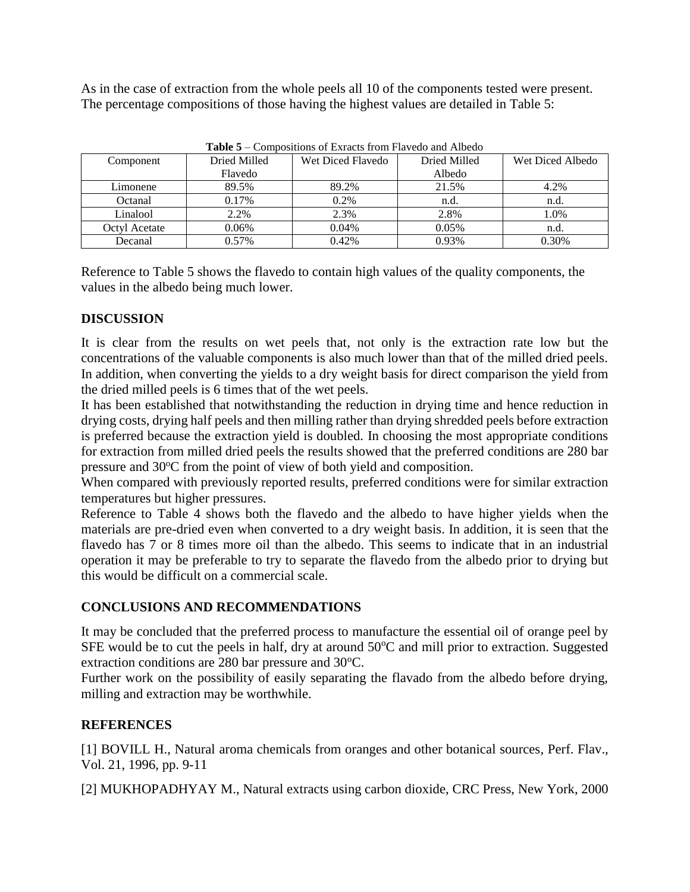As in the case of extraction from the whole peels all 10 of the components tested were present. The percentage compositions of those having the highest values are detailed in Table 5:

| <b>Table <math>3 -</math></b> Compositions of Extracts from Flavedo and Albedo |              |                   |              |                  |  |
|--------------------------------------------------------------------------------|--------------|-------------------|--------------|------------------|--|
| Component                                                                      | Dried Milled | Wet Diced Flavedo | Dried Milled | Wet Diced Albedo |  |
|                                                                                | Flavedo      |                   | Albedo       |                  |  |
| Limonene                                                                       | 89.5%        | 89.2%             | 21.5%        | 4.2%             |  |
| Octanal                                                                        | 0.17%        | $0.2\%$           | n.d.         | n.d.             |  |
| Linalool                                                                       | 2.2%         | 2.3%              | 2.8%         | 1.0%             |  |
| Octyl Acetate                                                                  | 0.06%        | $0.04\%$          | 0.05%        | n.d.             |  |
| Decanal                                                                        | 0.57%        | 0.42%             | 0.93%        | 0.30%            |  |

**Table 5** – Compositions of Exracts from Flavedo and Albedo

Reference to Table 5 shows the flavedo to contain high values of the quality components, the values in the albedo being much lower.

# **DISCUSSION**

It is clear from the results on wet peels that, not only is the extraction rate low but the concentrations of the valuable components is also much lower than that of the milled dried peels. In addition, when converting the yields to a dry weight basis for direct comparison the yield from the dried milled peels is 6 times that of the wet peels.

It has been established that notwithstanding the reduction in drying time and hence reduction in drying costs, drying half peels and then milling rather than drying shredded peels before extraction is preferred because the extraction yield is doubled. In choosing the most appropriate conditions for extraction from milled dried peels the results showed that the preferred conditions are 280 bar pressure and 30°C from the point of view of both yield and composition.

When compared with previously reported results, preferred conditions were for similar extraction temperatures but higher pressures.

Reference to Table 4 shows both the flavedo and the albedo to have higher yields when the materials are pre-dried even when converted to a dry weight basis. In addition, it is seen that the flavedo has 7 or 8 times more oil than the albedo. This seems to indicate that in an industrial operation it may be preferable to try to separate the flavedo from the albedo prior to drying but this would be difficult on a commercial scale.

# **CONCLUSIONS AND RECOMMENDATIONS**

It may be concluded that the preferred process to manufacture the essential oil of orange peel by SFE would be to cut the peels in half, dry at around  $50^{\circ}$ C and mill prior to extraction. Suggested extraction conditions are 280 bar pressure and 30°C.

Further work on the possibility of easily separating the flavado from the albedo before drying, milling and extraction may be worthwhile.

# **REFERENCES**

[1] BOVILL H., Natural aroma chemicals from oranges and other botanical sources, Perf. Flav., Vol. 21, 1996, pp. 9-11

[2] MUKHOPADHYAY M., Natural extracts using carbon dioxide, CRC Press, New York, 2000